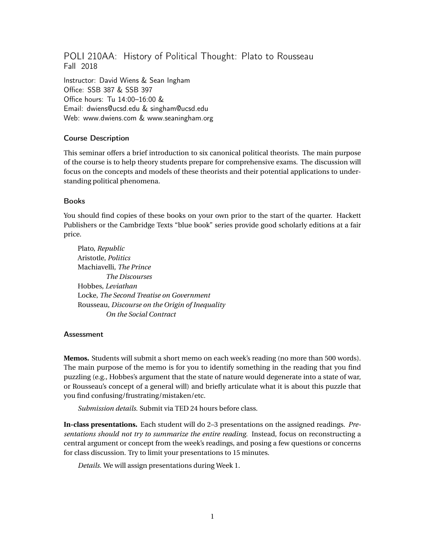POLI 210AA: History of Political Thought: Plato to Rousseau Fall 2018

Instructor: David Wiens & Sean Ingham Office: SSB 387 & SSB 397 Office hours: Tu 14:00–16:00 & Email: dwiens@ucsd.edu & singham@ucsd.edu Web: www.dwiens.com & www.seaningham.org

# Course Description

This seminar offers a brief introduction to six canonical political theorists. The main purpose of the course is to help theory students prepare for comprehensive exams. The discussion will focus on the concepts and models of these theorists and their potential applications to understanding political phenomena.

### Books

You should find copies of these books on your own prior to the start of the quarter. Hackett Publishers or the Cambridge Texts "blue book" series provide good scholarly editions at a fair price.

Plato, *Republic* Aristotle, *Politics* Machiavelli, *The Prince The Discourses* Hobbes, *Leviathan* Locke, *The Second Treatise on Government* Rousseau, *Discourse on the Origin of Inequality On the Social Contract*

### **Assessment**

**Memos.** Students will submit a short memo on each week's reading (no more than 500 words). The main purpose of the memo is for you to identify something in the reading that you find puzzling (e.g., Hobbes's argument that the state of nature would degenerate into a state of war, or Rousseau's concept of a general will) and briefly articulate what it is about this puzzle that you find confusing/frustrating/mistaken/etc.

*Submission details.* Submit via TED 24 hours before class.

**In-class presentations.** Each student will do 2–3 presentations on the assigned readings. *Presentations should not try to summarize the entire reading.* Instead, focus on reconstructing a central argument or concept from the week's readings, and posing a few questions or concerns for class discussion. Try to limit your presentations to 15 minutes.

*Details.* We will assign presentations during Week 1.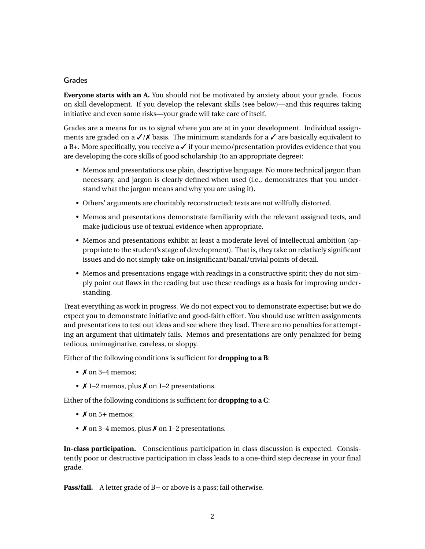# Grades

**Everyone starts with an A.** You should not be motivated by anxiety about your grade. Focus on skill development. If you develop the relevant skills (see below)—and this requires taking initiative and even some risks—your grade will take care of itself.

Grades are a means for us to signal where you are at in your development. Individual assignments are graded on a  $\sqrt{X}$  basis. The minimum standards for a  $\sqrt{X}$  are basically equivalent to a B+. More specifically, you receive a  $\checkmark$  if your memo/presentation provides evidence that you are developing the core skills of good scholarship (to an appropriate degree):

- Memos and presentations use plain, descriptive language. No more technical jargon than necessary, and jargon is clearly defined when used (i.e., demonstrates that you understand what the jargon means and why you are using it).
- Others' arguments are charitably reconstructed; texts are not willfully distorted.
- Memos and presentations demonstrate familiarity with the relevant assigned texts, and make judicious use of textual evidence when appropriate.
- Memos and presentations exhibit at least a moderate level of intellectual ambition (appropriate to the student's stage of development). That is, they take on relatively significant issues and do not simply take on insignificant/banal/trivial points of detail.
- Memos and presentations engage with readings in a constructive spirit; they do not simply point out flaws in the reading but use these readings as a basis for improving understanding.

Treat everything as work in progress. We do not expect you to demonstrate expertise; but we do expect you to demonstrate initiative and good-faith effort. You should use written assignments and presentations to test out ideas and see where they lead. There are no penalties for attempting an argument that ultimately fails. Memos and presentations are only penalized for being tedious, unimaginative, careless, or sloppy.

Either of the following conditions is sufficient for **dropping to a B**:

- $X$  on 3–4 memos:
- $\times$  1–2 memos, plus  $\times$  on 1–2 presentations.

Either of the following conditions is sufficient for **dropping to a C**:

- $X$  on 5+ memos;
- $\lambda$  on 3–4 memos, plus  $\lambda$  on 1–2 presentations.

**In-class participation.** Conscientious participation in class discussion is expected. Consistently poor or destructive participation in class leads to a one-third step decrease in your final grade.

**Pass/fail.** A letter grade of B− or above is a pass; fail otherwise.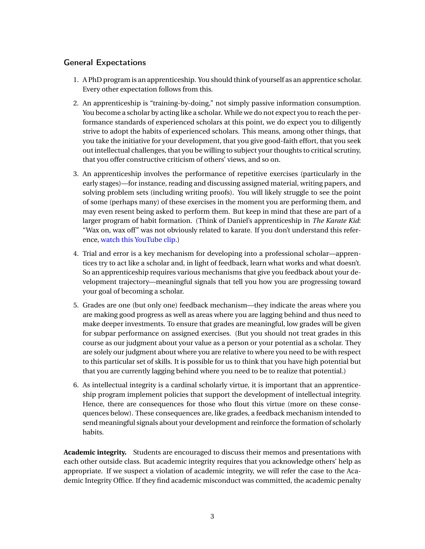# General Expectations

- 1. A PhD program is an apprenticeship. You should think of yourself as an apprentice scholar. Every other expectation follows from this.
- 2. An apprenticeship is "training-by-doing," not simply passive information consumption. You become a scholar by acting like a scholar. While we do not expect you to reach the performance standards of experienced scholars at this point, we do expect you to diligently strive to adopt the habits of experienced scholars. This means, among other things, that you take the initiative for your development, that you give good-faith effort, that you seek out intellectual challenges, that you be willing to subject your thoughts to critical scrutiny, that you offer constructive criticism of others' views, and so on.
- 3. An apprenticeship involves the performance of repetitive exercises (particularly in the early stages)—for instance, reading and discussing assigned material, writing papers, and solving problem sets (including writing proofs). You will likely struggle to see the point of some (perhaps many) of these exercises in the moment you are performing them, and may even resent being asked to perform them. But keep in mind that these are part of a larger program of habit formation. (Think of Daniel's apprenticeship in *The Karate Kid*: "Wax on, wax off" was not obviously related to karate. If you don't understand this reference, [watch this YouTube clip.](https://youtu.be/_N7HuhacP2c))
- 4. Trial and error is a key mechanism for developing into a professional scholar—apprentices try to act like a scholar and, in light of feedback, learn what works and what doesn't. So an apprenticeship requires various mechanisms that give you feedback about your development trajectory—meaningful signals that tell you how you are progressing toward your goal of becoming a scholar.
- 5. Grades are one (but only one) feedback mechanism—they indicate the areas where you are making good progress as well as areas where you are lagging behind and thus need to make deeper investments. To ensure that grades are meaningful, low grades will be given for subpar performance on assigned exercises. (But you should not treat grades in this course as our judgment about your value as a person or your potential as a scholar. They are solely our judgment about where you are relative to where you need to be with respect to this particular set of skills. It is possible for us to think that you have high potential but that you are currently lagging behind where you need to be to realize that potential.)
- 6. As intellectual integrity is a cardinal scholarly virtue, it is important that an apprenticeship program implement policies that support the development of intellectual integrity. Hence, there are consequences for those who flout this virtue (more on these consequences below). These consequences are, like grades, a feedback mechanism intended to send meaningful signals about your development and reinforce the formation of scholarly habits.

**Academic integrity.** Students are encouraged to discuss their memos and presentations with each other outside class. But academic integrity requires that you acknowledge others' help as appropriate. If we suspect a violation of academic integrity, we will refer the case to the Academic Integrity Office. If they find academic misconduct was committed, the academic penalty